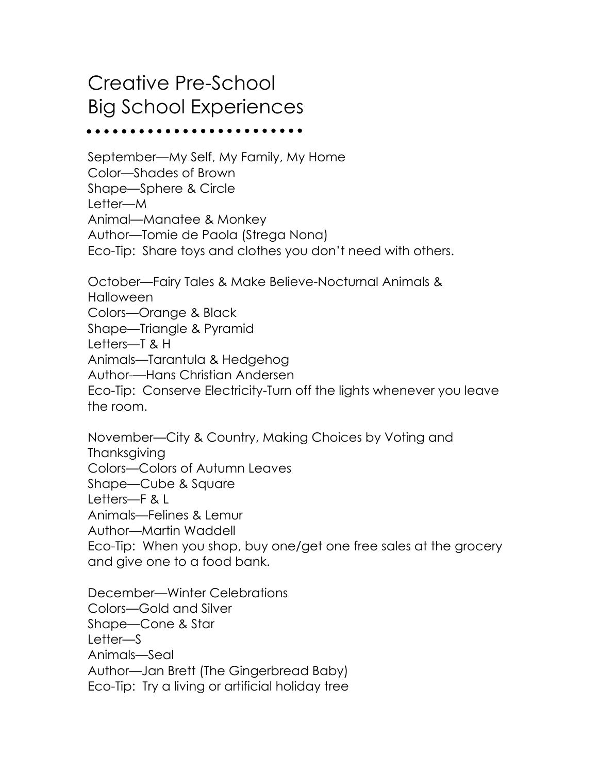## Creative Pre-School Big School Experiences

September—My Self, My Family, My Home Color—Shades of Brown Shape—Sphere & Circle Letter—M Animal—Manatee & Monkey Author—Tomie de Paola (Strega Nona) Eco-Tip: Share toys and clothes you don't need with others.

October—Fairy Tales & Make Believe-Nocturnal Animals & Halloween Colors—Orange & Black Shape—Triangle & Pyramid Letters—T & H Animals—Tarantula & Hedgehog Author-—Hans Christian Andersen Eco-Tip: Conserve Electricity-Turn off the lights whenever you leave the room.

November—City & Country, Making Choices by Voting and **Thanksgiving** 

Colors—Colors of Autumn Leaves

Shape—Cube & Square

Letters—F & L

Animals—Felines & Lemur

Author—Martin Waddell

Eco-Tip: When you shop, buy one/get one free sales at the grocery and give one to a food bank.

December—Winter Celebrations Colors—Gold and Silver Shape—Cone & Star Letter—S Animals—Seal Author—Jan Brett (The Gingerbread Baby) Eco-Tip: Try a living or artificial holiday tree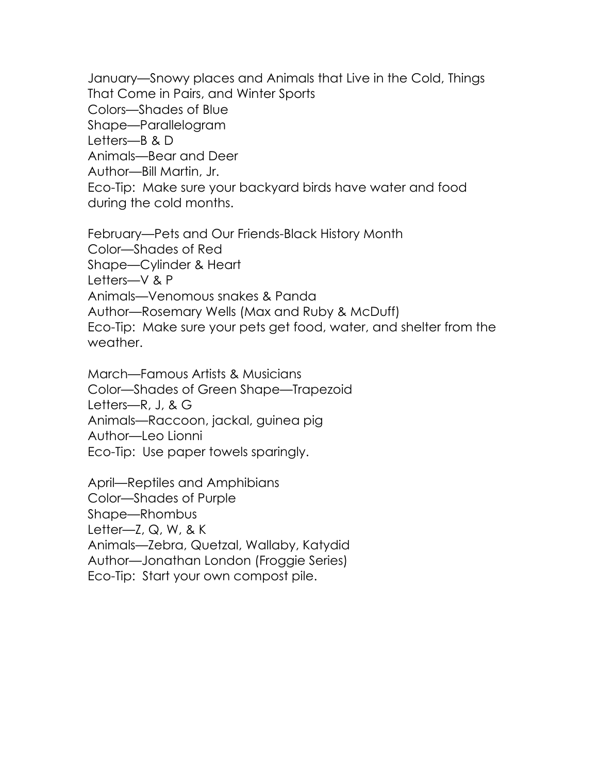January—Snowy places and Animals that Live in the Cold, Things That Come in Pairs, and Winter Sports Colors—Shades of Blue Shape—Parallelogram Letters—B & D Animals—Bear and Deer Author—Bill Martin, Jr. Eco-Tip: Make sure your backyard birds have water and food during the cold months.

February—Pets and Our Friends-Black History Month Color—Shades of Red Shape—Cylinder & Heart Letters—V & P Animals—Venomous snakes & Panda Author—Rosemary Wells (Max and Ruby & McDuff) Eco-Tip: Make sure your pets get food, water, and shelter from the weather.

March—Famous Artists & Musicians Color—Shades of Green Shape—Trapezoid Letters—R, J, & G Animals—Raccoon, jackal, guinea pig Author—Leo Lionni Eco-Tip: Use paper towels sparingly.

April—Reptiles and Amphibians

Color—Shades of Purple

Shape—Rhombus

Letter— $Z$ ,  $Q$ ,  $W$ ,  $g$ ,  $K$ 

Animals—Zebra, Quetzal, Wallaby, Katydid

Author—Jonathan London (Froggie Series)

Eco-Tip: Start your own compost pile.